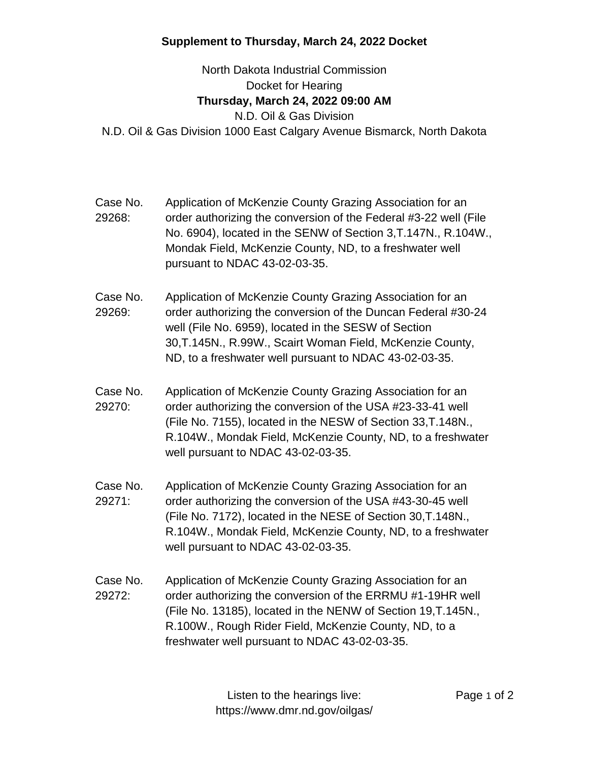## **Supplement to Thursday, March 24, 2022 Docket**

North Dakota Industrial Commission Docket for Hearing **Thursday, March 24, 2022 09:00 AM** N.D. Oil & Gas Division N.D. Oil & Gas Division 1000 East Calgary Avenue Bismarck, North Dakota

- Case No. 29268: Application of McKenzie County Grazing Association for an order authorizing the conversion of the Federal #3-22 well (File No. 6904), located in the SENW of Section 3,T.147N., R.104W., Mondak Field, McKenzie County, ND, to a freshwater well pursuant to NDAC 43-02-03-35.
- Case No. 29269: Application of McKenzie County Grazing Association for an order authorizing the conversion of the Duncan Federal #30-24 well (File No. 6959), located in the SESW of Section 30,T.145N., R.99W., Scairt Woman Field, McKenzie County, ND, to a freshwater well pursuant to NDAC 43-02-03-35.
- Case No. 29270: Application of McKenzie County Grazing Association for an order authorizing the conversion of the USA #23-33-41 well (File No. 7155), located in the NESW of Section 33,T.148N., R.104W., Mondak Field, McKenzie County, ND, to a freshwater well pursuant to NDAC 43-02-03-35.
- Case No. 29271: Application of McKenzie County Grazing Association for an order authorizing the conversion of the USA #43-30-45 well (File No. 7172), located in the NESE of Section 30,T.148N., R.104W., Mondak Field, McKenzie County, ND, to a freshwater well pursuant to NDAC 43-02-03-35.
- Case No. 29272: Application of McKenzie County Grazing Association for an order authorizing the conversion of the ERRMU #1-19HR well (File No. 13185), located in the NENW of Section 19,T.145N., R.100W., Rough Rider Field, McKenzie County, ND, to a freshwater well pursuant to NDAC 43-02-03-35.